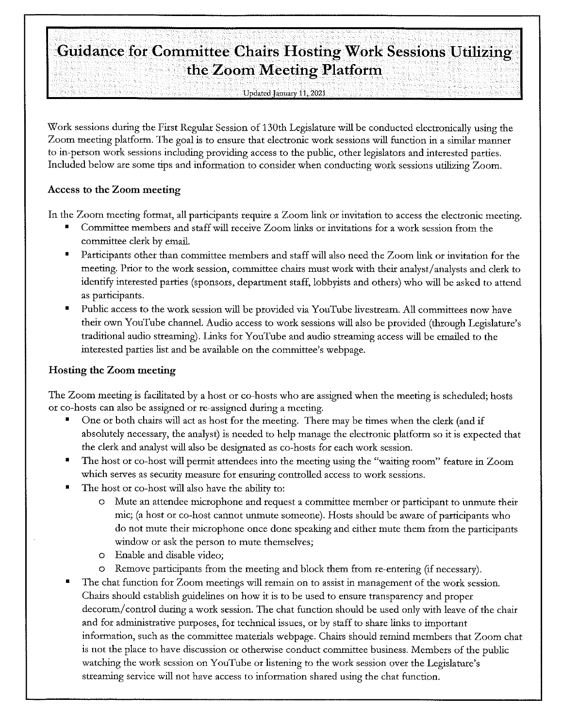# **Guidance for Committee Chairs Hosting Work Sessions Utilizing the Zoom Meeting Platform**

Updated January 11, 2021

Work sessions during the First Regular Session of 130th Legislature will be conducted electronically using the Zoom meeting platform. The goal is to ensure that electronic work sessions will function in a similar manner to in-person work sessions including providing access to the public, other legislators and interested parties. Included below are some tips and information to consider when conducting work sessions utilizing Zoom.

## **Access to the Zoom meeting**

In the Zoom meeting format, all participants require a Zoom link or invitation to access the electronic meeting.

- Committee members and staff will receive Zoom links or invitations for a work session from the committee clerk by email.
- Participants other than committee members and staff will also need the Zoom link or invitation for the meeting. Prior to the work session, committee chairs must work with their analyst/ analysts and clerk to identify interested parties (sponsors, department staff, lobbyists and others) who will be asked to attend as participants.
- Public access to the work session will be provided via You Tube livestream. All committees now have their own YouTube channel. Audio access to work sessions will also be provided (through Legislature's traditional audio streaming). Links for YouTube and audio streaming access will be emailed to the interested parties list and be available on the committee's webpage.

# **Hosting the Zoom meeting**

The Zoom meeting is facilitated by a host or co-hosts who are assigned when the meeting is scheduled; hosts or co-hosts can also be assigned or re-assigned during a meeting.

- One or both chairs will act as host for the meeting. There may be times when the clerk (and if absolutely necessary, the analyst) is needed to help manage the electronic platform so it is expected that the clerk and analyst will also be designated as co-hosts for each work session.
- The host or co-host will permit attendees into the meeting using the "waiting room" feature in Zoom which serves as security measure for ensuring controlled access to work sessions.
- The host or co-host will also have the ability to:
	- o Mute an attendee microphone and request a committee member or participant to unmute their mic; (a host or co-host cannot unmute someone). Hosts should be aware of participants who do not mute their microphone once done speaking and either mute them from the participants window or ask the person to mute themselves;
	- o Enable and disable video;
	- o Remove participants from the meeting and block them from re-entering (if necessary).
- The chat function for Zoom meetings will remain on to assist in management of the work session. Chairs should establish guidelines on how it is to be used to ensure transparency and proper decorum/ control during a work session. The chat function should be used only with leave of the chair and for administrative purposes, for technical issues, or by staff to share links to important information, such as the committee materials webpage. Chairs should remind members that Zoom chat is not the place to have discussion or otherwise conduct committee business. Members of the public watching the work session on YouTube or listening to the work session over the Legislature's streaming service will not have access to information shared using the chat function.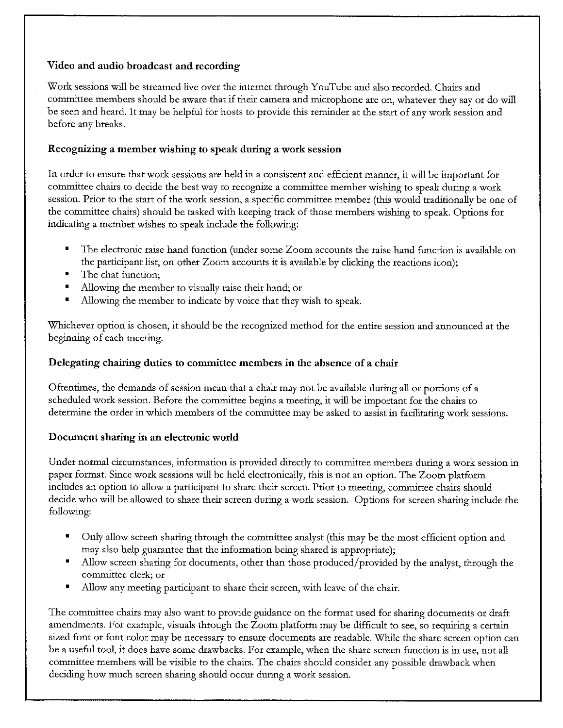## **Video and audio broadcast and recording**

Work sessions will be streamed live over the internet through YouTube and also recorded. Chairs and committee members should be aware that if their camera and microphone are on, whatever they say or do will be seen and heard. It may be helpful for hosts to provide this reminder at the start of any work session and before any breaks.

#### **Recognizing a member wishing to speak during a work session**

In order to ensure that work sessions are held in a consistent and efficient manner, it will be important for committee chairs to decide the best way to recognize a committee member wishing to speak during a work session. Prior to the start of the work session, a specific committee member (this would traditionally be one of the committee chairs) should be tasked with keeping track of those members wishing to speak. Options for indicating a member wishes to speak include the following:

- The electronic raise hand function (under some Zoom accounts the raise hand function is available on the participant list, on other Zoom accounts it is available by clicking the reactions icon);
- The chat function;
- Allowing the member to visually raise their hand; or
- Allowing the member to indicate by voice that they wish to speak.

Whichever option is chosen, it should be the recognized method for the entire session and announced at the beginning of each meeting.

## **Delegating chairing duties to committee members in the absence of a chair**

Oftentirnes, the demands of session mean that a chair may not be available during all or portions of a scheduled work session. Before the committee begins a meeting, it will be important for the chairs to determine the order in which members of the committee may be asked to assist in facilitating work sessions.

#### **Document sharing in an electronic world**

Under normal circumstances, information is provided directly to committee members during a work session in paper format. Since work sessions will be held electronically, this is not an option. The Zoom platform includes an option to allow a participant to share their screen. Prior to meeting, committee chairs should decide who will be allowed to share their screen during a work session. Options for screen sharing include the following:

- Only allow screen sharing through the committee analyst (this may be the most efficient option and may also help guarantee that the information being shared is appropriate);
- Allow screen sharing for documents, other than those produced/provided by the analyst, through the **committee clerk; or**
- Allow any meeting participant to share their screen, with leave of the chair.

The committee chairs may also want to provide guidance on the format used for sharing documents or draft amendments. For example, visuals through the Zoom platform may be difficult to see, so requiring a certain sized font or font color may be necessary to ensure documents are readable. While the share screen option can be a useful tool, it does have some drawbacks. For example, when the share screen function is in use, not all committee members will be visible to the chairs. The chairs should consider any possible drawback when deciding how much screen sharing should occur during a work session.